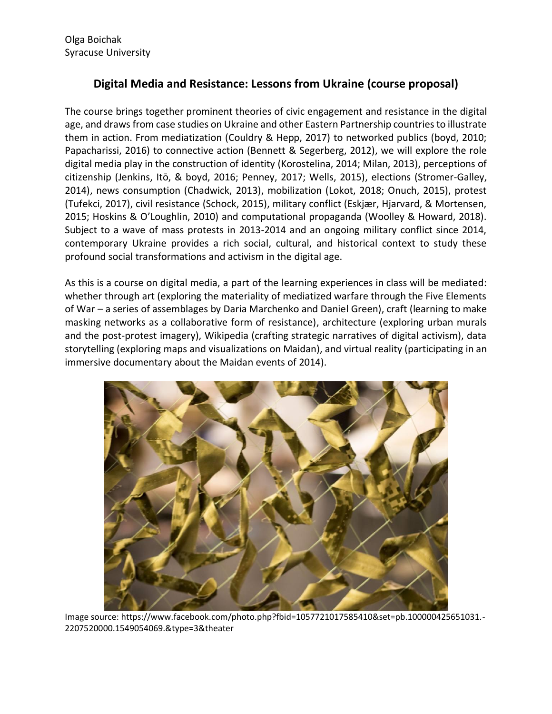## **Digital Media and Resistance: Lessons from Ukraine (course proposal)**

The course brings together prominent theories of civic engagement and resistance in the digital age, and draws from case studies on Ukraine and other Eastern Partnership countries to illustrate them in action. From mediatization (Couldry & Hepp, 2017) to networked publics (boyd, 2010; Papacharissi, 2016) to connective action (Bennett & Segerberg, 2012), we will explore the role digital media play in the construction of identity (Korostelina, 2014; Milan, 2013), perceptions of citizenship (Jenkins, Itō, & boyd, 2016; Penney, 2017; Wells, 2015), elections (Stromer-Galley, 2014), news consumption (Chadwick, 2013), mobilization (Lokot, 2018; Onuch, 2015), protest (Tufekci, 2017), civil resistance (Schock, 2015), military conflict (Eskjær, Hjarvard, & Mortensen, 2015; Hoskins & O'Loughlin, 2010) and computational propaganda (Woolley & Howard, 2018). Subject to a wave of mass protests in 2013-2014 and an ongoing military conflict since 2014, contemporary Ukraine provides a rich social, cultural, and historical context to study these profound social transformations and activism in the digital age.

As this is a course on digital media, a part of the learning experiences in class will be mediated: whether through art (exploring the materiality of mediatized warfare through the Five Elements of War – a series of assemblages by Daria Marchenko and Daniel Green), craft (learning to make masking networks as a collaborative form of resistance), architecture (exploring urban murals and the post-protest imagery), Wikipedia (crafting strategic narratives of digital activism), data storytelling (exploring maps and visualizations on Maidan), and virtual reality (participating in an immersive documentary about the Maidan events of 2014).



Image source: https://www.facebook.com/photo.php?fbid=1057721017585410&set=pb.100000425651031.- 2207520000.1549054069.&type=3&theater